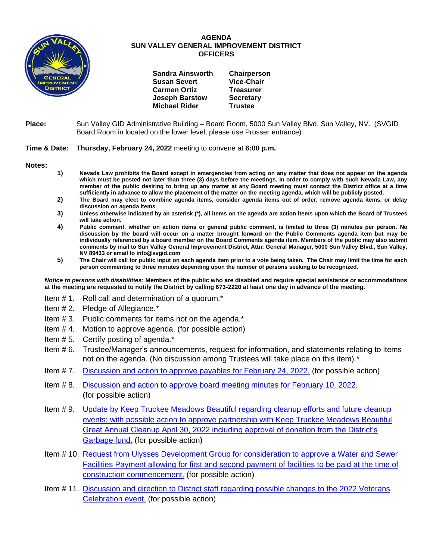

## **AGENDA SUN VALLEY GENERAL IMPROVEMENT DISTRICT OFFICERS**

| <b>Sandra Ainsworth</b> | Chairperson       |
|-------------------------|-------------------|
| <b>Susan Severt</b>     | <b>Vice-Chair</b> |
| <b>Carmen Ortiz</b>     | <b>Treasurer</b>  |
| <b>Joseph Barstow</b>   | <b>Secretary</b>  |
| <b>Michael Rider</b>    | <b>Trustee</b>    |

**retary** 

## **Place:** Sun Valley GID Administrative Building – Board Room, 5000 Sun Valley Blvd. Sun Valley, NV. (SVGID Board Room in located on the lower level, please use Prosser entrance)

## **Time & Date: Thursday, February 24, 2022** meeting to convene at **6:00 p.m.**

**Notes:**

- **1) Nevada Law prohibits the Board except in emergencies from acting on any matter that does not appear on the agenda which must be posted not later than three (3) days before the meetings. In order to comply with such Nevada Law, any member of the public desiring to bring up any matter at any Board meeting must contact the District office at a time sufficiently in advance to allow the placement of the matter on the meeting agenda, which will be publicly posted.**
- **2) The Board may elect to combine agenda items, consider agenda items out of order, remove agenda items, or delay discussion on agenda items.**
- **3) Unless otherwise indicated by an asterisk (\*), all items on the agenda are action items upon which the Board of Trustees will take action.**
- **4) Public comment, whether on action items or general public comment, is limited to three (3) minutes per person. No discussion by the board will occur on a matter brought forward on the Public Comments agenda item but may be individually referenced by a board member on the Board Comments agenda item. Members of the public may also submit comments by mail to Sun Valley General Improvement District, Attn: General Manager, 5000 Sun Valley Blvd., Sun Valley, NV 89433 or email to info@svgid.com**
- **5) The Chair will call for public input on each agenda item prior to a vote being taken. The Chair may limit the time for each person commenting to three minutes depending upon the number of persons seeking to be recognized.**

*Notice to persons with disabilities***: Members of the public who are disabled and require special assistance or accommodations at the meeting are requested to notify the District by calling 673-2220 at least one day in advance of the meeting.**

- Item # 1. Roll call and determination of a quorum.\*
- Item # 2. Pledge of Allegiance.\*
- Item # 3. Public comments for items not on the agenda.\*
- Item # 4. Motion to approve agenda. (for possible action)
- Item # 5. Certify posting of agenda.\*
- Item # 6. Trustee/Manager's announcements, request for information, and statements relating to items not on the agenda. (No discussion among Trustees will take place on this item).\*
- Item # 7. [Discussion and action to approve payables](https://www.svgid.com/wp-content/uploads/022422_AgendaItem07.pdf) for February 24, 2022. (for possible action)
- Item # 8. [Discussion and action to approve board meeting minutes for](https://www.svgid.com/wp-content/uploads/022422_AgendaItem08.pdf) February 10, 2022. (for possible action)
- Item # 9. [Update by Keep Truckee Meadows Beautiful regarding cleanup efforts and future cleanup](https://www.svgid.com/wp-content/uploads/022422_AgendaItem09.pdf)  [events; with possible action to approve partnership with Keep Truckee Meadows Beautiful](https://www.svgid.com/wp-content/uploads/022422_AgendaItem09.pdf)  [Great Annual Cleanup April 30, 2022 including approval of donation from the District's](https://www.svgid.com/wp-content/uploads/022422_AgendaItem09.pdf)  [Garbage fund.](https://www.svgid.com/wp-content/uploads/022422_AgendaItem09.pdf) (for possible action)
- Item # 10. [Request from Ulysses Development Group for consideration to approve a Water and Sewer](https://www.svgid.com/wp-content/uploads/022422_AgendaItem10.pdf)  [Facilities Payment allowing for first and second payment of facilities to be paid at the time of](https://www.svgid.com/wp-content/uploads/022422_AgendaItem10.pdf)  [construction commencement.](https://www.svgid.com/wp-content/uploads/022422_AgendaItem10.pdf) (for possible action)
- Item # 11. [Discussion and direction to District staff regarding possible changes to the 2022 Veterans](https://www.svgid.com/wp-content/uploads/022422_AgendaItem11.pdf)  [Celebration event.](https://www.svgid.com/wp-content/uploads/022422_AgendaItem11.pdf) (for possible action)